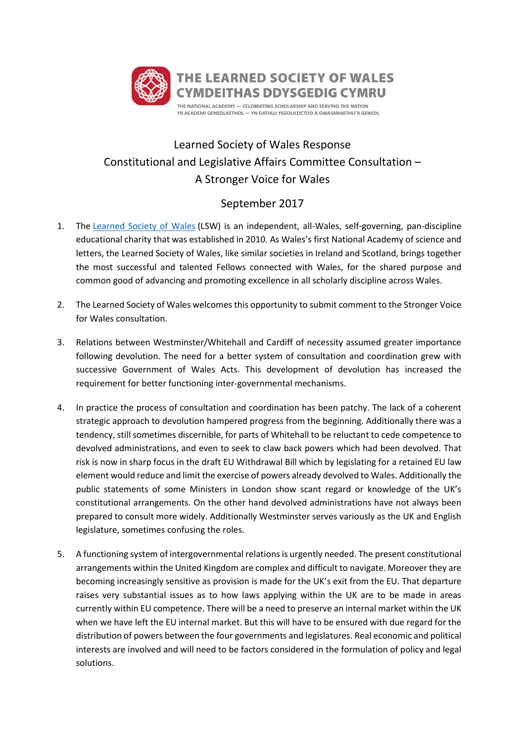

## Learned Society of Wales Response Constitutional and Legislative Affairs Committee Consultation – A Stronger Voice for Wales

## September 2017

- 1. The [Learned Society of Wales](https://mail.wales.ac.uk/owa/redir.aspx?C=UEHrV0fl6PCe2hVI5IU8W15M_MnMe76U2uyelq9FWLa8qP73-NrTCA..&URL=https%3a%2f%2fwww.learnedsociety.wales%2f) (LSW) is an independent, all-Wales, self-governing, pan-discipline educational charity that was established in 2010. As Wales's first National Academy of science and letters, the Learned Society of Wales, like similar societies in Ireland and Scotland, brings together the most successful and talented Fellows connected with Wales, for the shared purpose and common good of advancing and promoting excellence in all scholarly discipline across Wales.
- 2. The Learned Society of Wales welcomes this opportunity to submit comment to the Stronger Voice for Wales consultation.
- 3. Relations between Westminster/Whitehall and Cardiff of necessity assumed greater importance following devolution. The need for a better system of consultation and coordination grew with successive Government of Wales Acts. This development of devolution has increased the requirement for better functioning inter-governmental mechanisms.
- 4. In practice the process of consultation and coordination has been patchy. The lack of a coherent strategic approach to devolution hampered progress from the beginning. Additionally there was a tendency, still sometimes discernible, for parts of Whitehall to be reluctant to cede competence to devolved administrations, and even to seek to claw back powers which had been devolved. That risk is now in sharp focus in the draft EU Withdrawal Bill which by legislating for a retained EU law element would reduce and limit the exercise of powers already devolved to Wales. Additionally the public statements of some Ministers in London show scant regard or knowledge of the UK's constitutional arrangements. On the other hand devolved administrations have not always been prepared to consult more widely. Additionally Westminster serves variously as the UK and English legislature, sometimes confusing the roles.
- 5. A functioning system of intergovernmental relations is urgently needed. The present constitutional arrangements within the United Kingdom are complex and difficult to navigate. Moreover they are becoming increasingly sensitive as provision is made for the UK's exit from the EU. That departure raises very substantial issues as to how laws applying within the UK are to be made in areas currently within EU competence. There will be a need to preserve an internal market within the UK when we have left the EU internal market. But this will have to be ensured with due regard for the distribution of powers between the four governments and legislatures. Real economic and political interests are involved and will need to be factors considered in the formulation of policy and legal solutions.